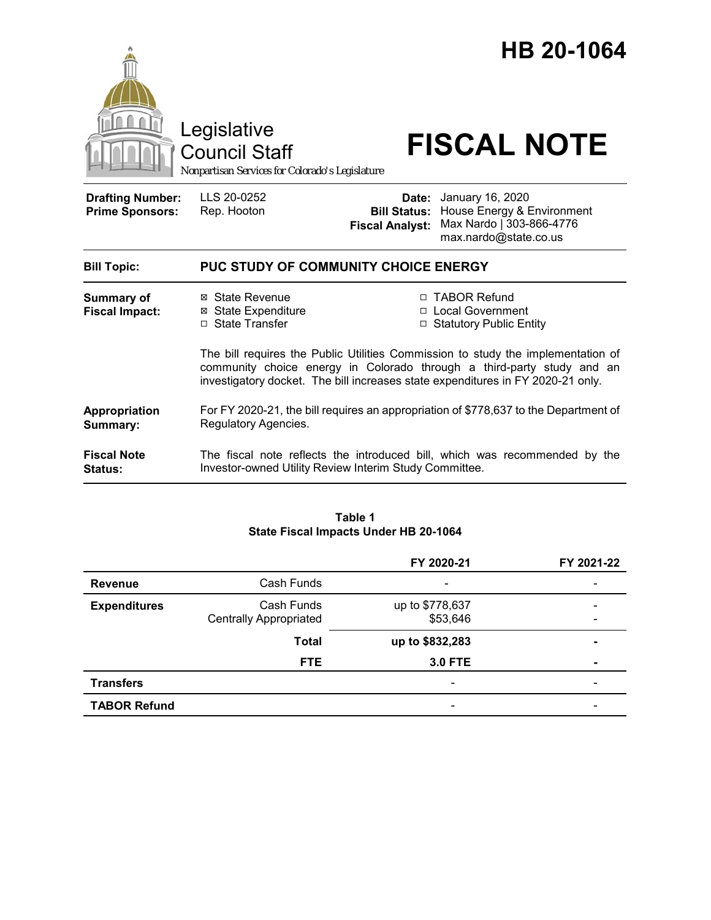

#### **Table 1 State Fiscal Impacts Under HB 20-1064**

|                     |                                             | FY 2020-21                  | FY 2021-22                                               |
|---------------------|---------------------------------------------|-----------------------------|----------------------------------------------------------|
| <b>Revenue</b>      | Cash Funds                                  | $\overline{\phantom{0}}$    | -                                                        |
| <b>Expenditures</b> | Cash Funds<br><b>Centrally Appropriated</b> | up to \$778,637<br>\$53,646 | $\qquad \qquad \blacksquare$<br>$\overline{\phantom{0}}$ |
|                     | <b>Total</b>                                | up to \$832,283             | $\blacksquare$                                           |
|                     | <b>FTE</b>                                  | <b>3.0 FTE</b>              | $\blacksquare$                                           |
| <b>Transfers</b>    |                                             |                             |                                                          |
| <b>TABOR Refund</b> |                                             |                             | -                                                        |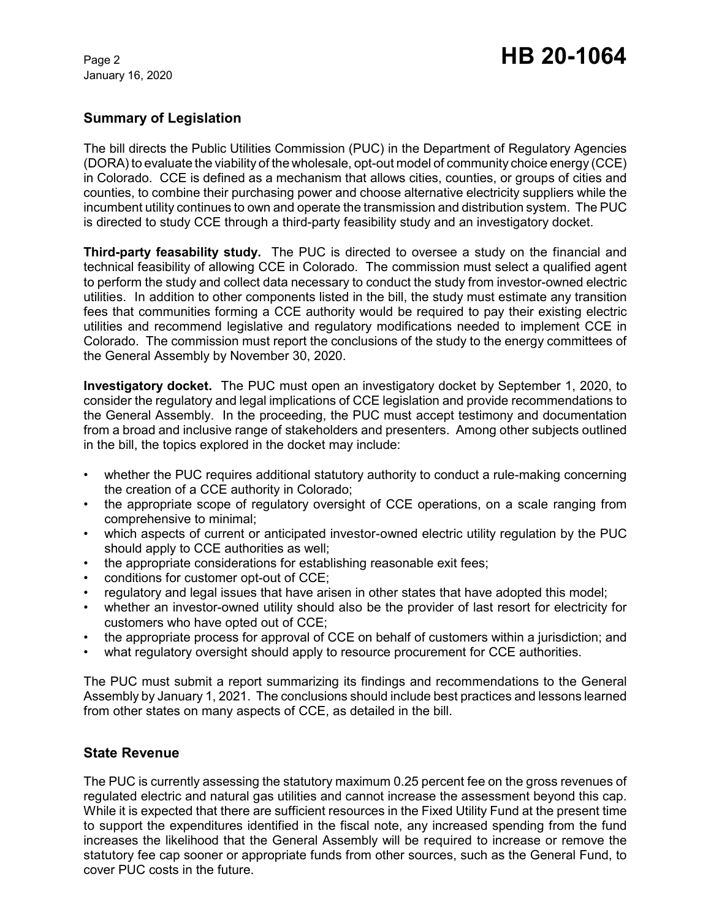January 16, 2020

# **Summary of Legislation**

The bill directs the Public Utilities Commission (PUC) in the Department of Regulatory Agencies (DORA) to evaluate the viability of the wholesale, opt-out model of community choice energy (CCE) in Colorado. CCE is defined as a mechanism that allows cities, counties, or groups of cities and counties, to combine their purchasing power and choose alternative electricity suppliers while the incumbent utility continues to own and operate the transmission and distribution system. The PUC is directed to study CCE through a third-party feasibility study and an investigatory docket.

**Third-party feasability study.** The PUC is directed to oversee a study on the financial and technical feasibility of allowing CCE in Colorado. The commission must select a qualified agent to perform the study and collect data necessary to conduct the study from investor-owned electric utilities. In addition to other components listed in the bill, the study must estimate any transition fees that communities forming a CCE authority would be required to pay their existing electric utilities and recommend legislative and regulatory modifications needed to implement CCE in Colorado. The commission must report the conclusions of the study to the energy committees of the General Assembly by November 30, 2020.

**Investigatory docket.** The PUC must open an investigatory docket by September 1, 2020, to consider the regulatory and legal implications of CCE legislation and provide recommendations to the General Assembly. In the proceeding, the PUC must accept testimony and documentation from a broad and inclusive range of stakeholders and presenters. Among other subjects outlined in the bill, the topics explored in the docket may include:

- whether the PUC requires additional statutory authority to conduct a rule-making concerning the creation of a CCE authority in Colorado;
- the appropriate scope of regulatory oversight of CCE operations, on a scale ranging from comprehensive to minimal;
- which aspects of current or anticipated investor-owned electric utility regulation by the PUC should apply to CCE authorities as well;
- the appropriate considerations for establishing reasonable exit fees;
- conditions for customer opt-out of CCE;
- regulatory and legal issues that have arisen in other states that have adopted this model;
- whether an investor-owned utility should also be the provider of last resort for electricity for customers who have opted out of CCE;
- the appropriate process for approval of CCE on behalf of customers within a jurisdiction; and
- what regulatory oversight should apply to resource procurement for CCE authorities.

The PUC must submit a report summarizing its findings and recommendations to the General Assembly by January 1, 2021. The conclusions should include best practices and lessons learned from other states on many aspects of CCE, as detailed in the bill.

## **State Revenue**

The PUC is currently assessing the statutory maximum 0.25 percent fee on the gross revenues of regulated electric and natural gas utilities and cannot increase the assessment beyond this cap. While it is expected that there are sufficient resources in the Fixed Utility Fund at the present time to support the expenditures identified in the fiscal note, any increased spending from the fund increases the likelihood that the General Assembly will be required to increase or remove the statutory fee cap sooner or appropriate funds from other sources, such as the General Fund, to cover PUC costs in the future.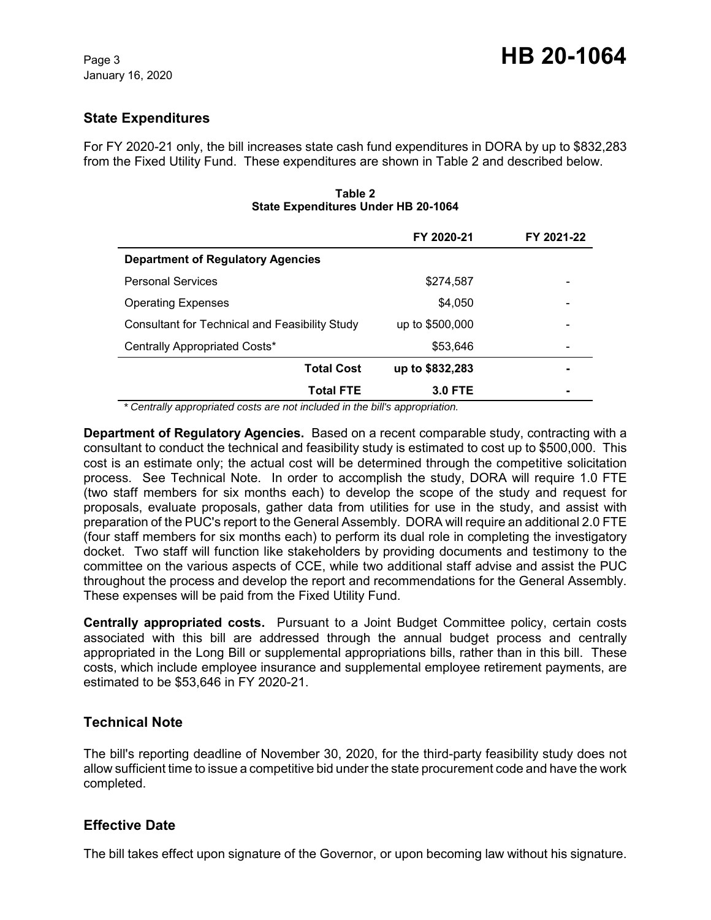# **State Expenditures**

For FY 2020-21 only, the bill increases state cash fund expenditures in DORA by up to \$832,283 from the Fixed Utility Fund. These expenditures are shown in Table 2 and described below.

|                                                       | FY 2020-21      | FY 2021-22 |  |  |
|-------------------------------------------------------|-----------------|------------|--|--|
| <b>Department of Regulatory Agencies</b>              |                 |            |  |  |
| <b>Personal Services</b>                              | \$274,587       | -          |  |  |
| <b>Operating Expenses</b>                             | \$4,050         | -          |  |  |
| <b>Consultant for Technical and Feasibility Study</b> | up to \$500,000 | -          |  |  |
| Centrally Appropriated Costs*                         | \$53,646        | -          |  |  |
| <b>Total Cost</b>                                     | up to \$832,283 |            |  |  |
| <b>Total FTE</b>                                      | <b>3.0 FTE</b>  |            |  |  |

**Table 2 State Expenditures Under HB 20-1064**

 *\* Centrally appropriated costs are not included in the bill's appropriation.*

**Department of Regulatory Agencies.** Based on a recent comparable study, contracting with a consultant to conduct the technical and feasibility study is estimated to cost up to \$500,000. This cost is an estimate only; the actual cost will be determined through the competitive solicitation process. See Technical Note. In order to accomplish the study, DORA will require 1.0 FTE (two staff members for six months each) to develop the scope of the study and request for proposals, evaluate proposals, gather data from utilities for use in the study, and assist with preparation of the PUC's report to the General Assembly. DORA will require an additional 2.0 FTE (four staff members for six months each) to perform its dual role in completing the investigatory docket. Two staff will function like stakeholders by providing documents and testimony to the committee on the various aspects of CCE, while two additional staff advise and assist the PUC throughout the process and develop the report and recommendations for the General Assembly. These expenses will be paid from the Fixed Utility Fund.

**Centrally appropriated costs.** Pursuant to a Joint Budget Committee policy, certain costs associated with this bill are addressed through the annual budget process and centrally appropriated in the Long Bill or supplemental appropriations bills, rather than in this bill. These costs, which include employee insurance and supplemental employee retirement payments, are estimated to be \$53,646 in FY 2020-21.

### **Technical Note**

The bill's reporting deadline of November 30, 2020, for the third-party feasibility study does not allow sufficient time to issue a competitive bid under the state procurement code and have the work completed.

## **Effective Date**

The bill takes effect upon signature of the Governor, or upon becoming law without his signature.